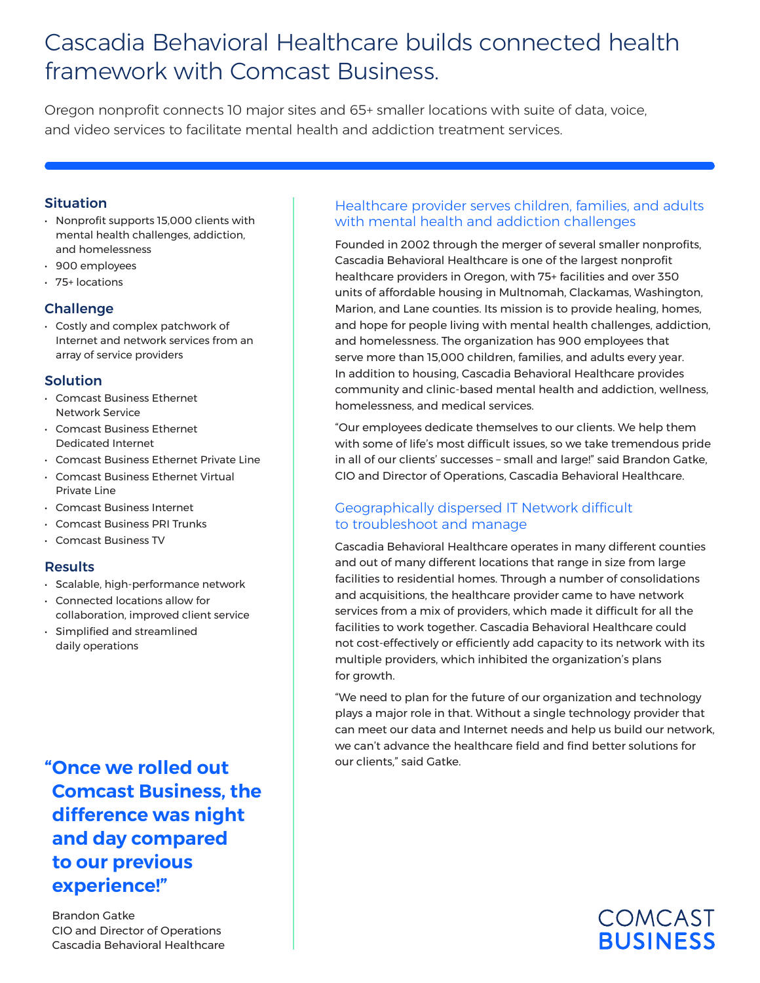# Cascadia Behavioral Healthcare builds connected health framework with Comcast Business.

Oregon nonprofit connects 10 major sites and 65+ smaller locations with suite of data, voice, and video services to facilitate mental health and addiction treatment services.

#### Situation

- Nonprofit supports 15,000 clients with mental health challenges, addiction, and homelessness
- 900 employees
- 75+ locations

#### **Challenge**

• Costly and complex patchwork of Internet and network services from an array of service providers

#### Solution

- Comcast Business Ethernet Network Service
- Comcast Business Ethernet Dedicated Internet
- Comcast Business Ethernet Private Line
- Comcast Business Ethernet Virtual Private Line
- Comcast Business Internet
- Comcast Business PRI Trunks
- Comcast Business TV

### Results

- Scalable, high-performance network
- Connected locations allow for collaboration, improved client service • Simplified and streamlined
- daily operations

**"Once we rolled out Comcast Business, the difference was night and day compared to our previous experience!"**

Brandon Gatke CIO and Director of Operations Cascadia Behavioral Healthcare

## Healthcare provider serves children, families, and adults with mental health and addiction challenges

Founded in 2002 through the merger of several smaller nonprofits, Cascadia Behavioral Healthcare is one of the largest nonprofit healthcare providers in Oregon, with 75+ facilities and over 350 units of affordable housing in Multnomah, Clackamas, Washington, Marion, and Lane counties. Its mission is to provide healing, homes, and hope for people living with mental health challenges, addiction, and homelessness. The organization has 900 employees that serve more than 15,000 children, families, and adults every year. In addition to housing, Cascadia Behavioral Healthcare provides community and clinic-based mental health and addiction, wellness, homelessness, and medical services.

"Our employees dedicate themselves to our clients. We help them with some of life's most difficult issues, so we take tremendous pride in all of our clients' successes – small and large!" said Brandon Gatke, CIO and Director of Operations, Cascadia Behavioral Healthcare.

### Geographically dispersed IT Network difficult to troubleshoot and manage

Cascadia Behavioral Healthcare operates in many different counties and out of many different locations that range in size from large facilities to residential homes. Through a number of consolidations and acquisitions, the healthcare provider came to have network services from a mix of providers, which made it difficult for all the facilities to work together. Cascadia Behavioral Healthcare could not cost-effectively or efficiently add capacity to its network with its multiple providers, which inhibited the organization's plans for growth.

"We need to plan for the future of our organization and technology plays a major role in that. Without a single technology provider that can meet our data and Internet needs and help us build our network, we can't advance the healthcare field and find better solutions for our clients," said Gatke.

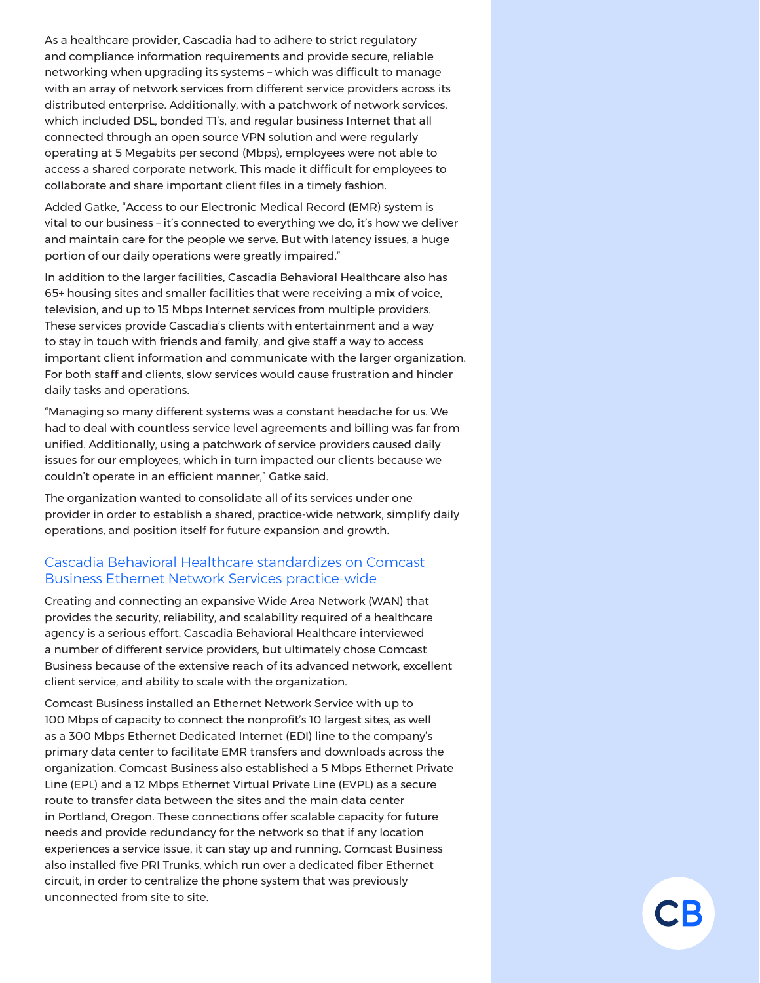As a healthcare provider, Cascadia had to adhere to strict regulatory and compliance information requirements and provide secure, reliable networking when upgrading its systems – which was difficult to manage with an array of network services from different service providers across its distributed enterprise. Additionally, with a patchwork of network services, which included DSL, bonded TI's, and regular business Internet that all connected through an open source VPN solution and were regularly operating at 5 Megabits per second (Mbps), employees were not able to access a shared corporate network. This made it difficult for employees to collaborate and share important client files in a timely fashion.

Added Gatke, "Access to our Electronic Medical Record (EMR) system is vital to our business – it's connected to everything we do, it's how we deliver and maintain care for the people we serve. But with latency issues, a huge portion of our daily operations were greatly impaired."

In addition to the larger facilities, Cascadia Behavioral Healthcare also has 65+ housing sites and smaller facilities that were receiving a mix of voice, television, and up to 15 Mbps Internet services from multiple providers. These services provide Cascadia's clients with entertainment and a way to stay in touch with friends and family, and give staff a way to access important client information and communicate with the larger organization. For both staff and clients, slow services would cause frustration and hinder daily tasks and operations.

"Managing so many different systems was a constant headache for us. We had to deal with countless service level agreements and billing was far from unified. Additionally, using a patchwork of service providers caused daily issues for our employees, which in turn impacted our clients because we couldn't operate in an efficient manner," Gatke said.

The organization wanted to consolidate all of its services under one provider in order to establish a shared, practice-wide network, simplify daily operations, and position itself for future expansion and growth.

#### Cascadia Behavioral Healthcare standardizes on Comcast Business Ethernet Network Services practice-wide

Creating and connecting an expansive Wide Area Network (WAN) that provides the security, reliability, and scalability required of a healthcare agency is a serious effort. Cascadia Behavioral Healthcare interviewed a number of different service providers, but ultimately chose Comcast Business because of the extensive reach of its advanced network, excellent client service, and ability to scale with the organization.

Comcast Business installed an Ethernet Network Service with up to 100 Mbps of capacity to connect the nonprofit's 10 largest sites, as well as a 300 Mbps Ethernet Dedicated Internet (EDI) line to the company's primary data center to facilitate EMR transfers and downloads across the organization. Comcast Business also established a 5 Mbps Ethernet Private Line (EPL) and a 12 Mbps Ethernet Virtual Private Line (EVPL) as a secure route to transfer data between the sites and the main data center in Portland, Oregon. These connections offer scalable capacity for future needs and provide redundancy for the network so that if any location experiences a service issue, it can stay up and running. Comcast Business also installed five PRI Trunks, which run over a dedicated fiber Ethernet circuit, in order to centralize the phone system that was previously unconnected from site to site.